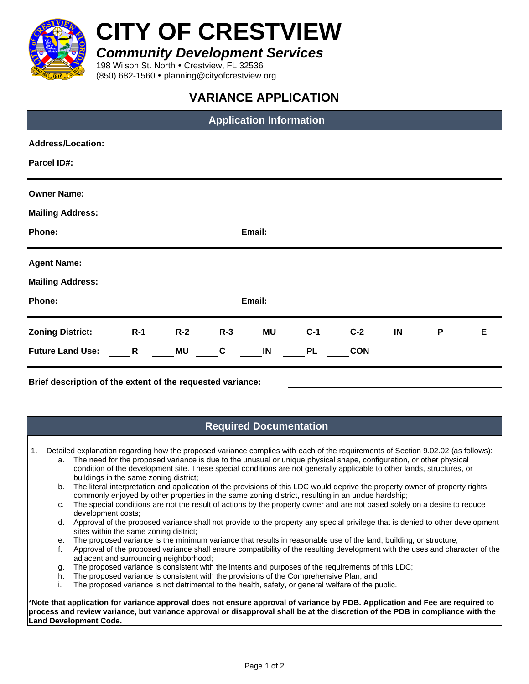

**CITY OF CRESTVIEW**

*Community Development Services*

198 Wilson St. North . Crestview, FL 32536 (850) 682-1560 planning@cityofcrestview.org

## **VARIANCE APPLICATION**

## **Application Information**

| <b>Address/Location:</b> |                                                              |                                                                                                                      |               |        |       |       |              |   |   |
|--------------------------|--------------------------------------------------------------|----------------------------------------------------------------------------------------------------------------------|---------------|--------|-------|-------|--------------|---|---|
| <b>Parcel ID#:</b>       |                                                              | <u> 1989 - John Stoff, amerikansk politiker (d. 1989)</u>                                                            |               |        |       |       |              |   |   |
|                          |                                                              |                                                                                                                      |               |        |       |       |              |   |   |
| <b>Owner Name:</b>       |                                                              |                                                                                                                      |               |        |       |       |              |   |   |
| <b>Mailing Address:</b>  |                                                              | <u> 1989 - Johann Stein, mars an deutscher Stein und der Stein und der Stein und der Stein und der Stein und der</u> |               |        |       |       |              |   |   |
| Phone:                   |                                                              |                                                                                                                      |               | Email: |       |       |              |   |   |
|                          |                                                              |                                                                                                                      |               |        |       |       |              |   |   |
| <b>Agent Name:</b>       |                                                              |                                                                                                                      |               |        |       |       |              |   |   |
| <b>Mailing Address:</b>  |                                                              |                                                                                                                      |               |        |       |       |              |   |   |
| Phone:                   | Email:<br><u> 1980 - John Stein, Amerikaansk politiker (</u> |                                                                                                                      |               |        |       |       |              |   |   |
|                          |                                                              |                                                                                                                      |               |        |       |       |              |   |   |
| <b>Zoning District:</b>  |                                                              | <b>R-1</b> R-2                                                                                                       | <b>R-3</b> MU |        | $C-1$ | $C-2$ | $\mathbf{N}$ | P | Е |
|                          |                                                              |                                                                                                                      |               |        |       |       |              |   |   |

**Brief description of the extent of the requested variance:**

## **Required Documentation**

1. Detailed explanation regarding how the proposed variance complies with each of the requirements of Section 9.02.02 (as follows):

- a. The need for the proposed variance is due to the unusual or unique physical shape, configuration, or other physical condition of the development site. These special conditions are not generally applicable to other lands, structures, or buildings in the same zoning district;
- b. The literal interpretation and application of the provisions of this LDC would deprive the property owner of property rights commonly enjoyed by other properties in the same zoning district, resulting in an undue hardship;
- c. The special conditions are not the result of actions by the property owner and are not based solely on a desire to reduce development costs;
- d. Approval of the proposed variance shall not provide to the property any special privilege that is denied to other development sites within the same zoning district;
- e. The proposed variance is the minimum variance that results in reasonable use of the land, building, or structure;
- f. Approval of the proposed variance shall ensure compatibility of the resulting development with the uses and character of the adjacent and surrounding neighborhood;
- g. The proposed variance is consistent with the intents and purposes of the requirements of this LDC;
- h. The proposed variance is consistent with the provisions of the Comprehensive Plan; and
- i. The proposed variance is not detrimental to the health, safety, or general welfare of the public.

**\*Note that application for variance approval does not ensure approval of variance by PDB. Application and Fee are required to process and review variance, but variance approval or disapproval shall be at the discretion of the PDB in compliance with the Land Development Code.**